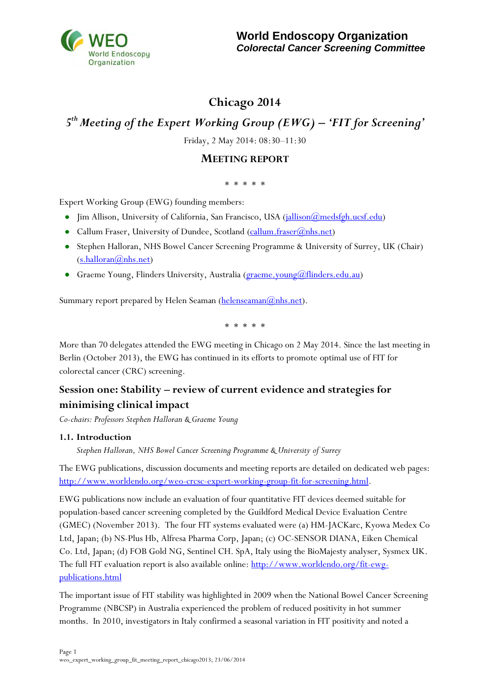

# **Chicago 2014**

# *5 th Meeting of the Expert Working Group (EWG) – 'FIT for Screening'*

Friday, 2 May 2014: 08:30–11:30

## **MEETING REPORT**

#### \* \* \* \* \*

Expert Working Group (EWG) founding members:

- Jim Allison, University of California, San Francisco, USA [\(jallison@medsfgh.ucsf.edu\)](mailto:jallison@medsfgh.ucsf.edu)
- Callum Fraser, University of Dundee, Scotland (callum.fraser $(\overline{\omega}_{\text{nhs.net}})$
- Stephen Halloran, NHS Bowel Cancer Screening Programme & University of Surrey, UK (Chair)  $(s.halloran@nhs.net)$
- Graeme Young, Flinders University, Australia (*graeme.young@flinders.edu.au*)

Summary report prepared by Helen Seaman  $(\underline{helenseaman}(\overline{a})_n)$ hs.net).

\* \* \* \* \*

More than 70 delegates attended the EWG meeting in Chicago on 2 May 2014. Since the last meeting in Berlin (October 2013), the EWG has continued in its efforts to promote optimal use of FIT for colorectal cancer (CRC) screening.

# **Session one: Stability – review of current evidence and strategies for minimising clinical impact**

*Co-chairs: Professors Stephen Halloran & Graeme Young* 

#### **1.1. Introduction**

*Stephen Halloran, NHS Bowel Cancer Screening Programme & University of Surrey*

The EWG publications, discussion documents and meeting reports are detailed on dedicated web pages: [http://www.worldendo.org/weo-crcsc-expert-working-group-fit-for-screening.html.](http://www.worldendo.org/weo-crcsc-expert-working-group-fit-for-screening.html)

EWG publications now include an evaluation of four quantitative FIT devices deemed suitable for population-based cancer screening completed by the Guildford Medical Device Evaluation Centre (GMEC) (November 2013). The four FIT systems evaluated were (a) HM-JACKarc, Kyowa Medex Co Ltd, Japan; (b) NS-Plus Hb, Alfresa Pharma Corp, Japan; (c) OC-SENSOR DIANA, Eiken Chemical Co. Ltd, Japan; (d) FOB Gold NG, Sentinel CH. SpA, Italy using the BioMajesty analyser, Sysmex UK. The full FIT evaluation report is also available online: [http://www.worldendo.org/fit-ewg](http://www.worldendo.org/fit-ewg-publications.html)[publications.html](http://www.worldendo.org/fit-ewg-publications.html)

The important issue of FIT stability was highlighted in 2009 when the National Bowel Cancer Screening Programme (NBCSP) in Australia experienced the problem of reduced positivity in hot summer months. In 2010, investigators in Italy confirmed a seasonal variation in FIT positivity and noted a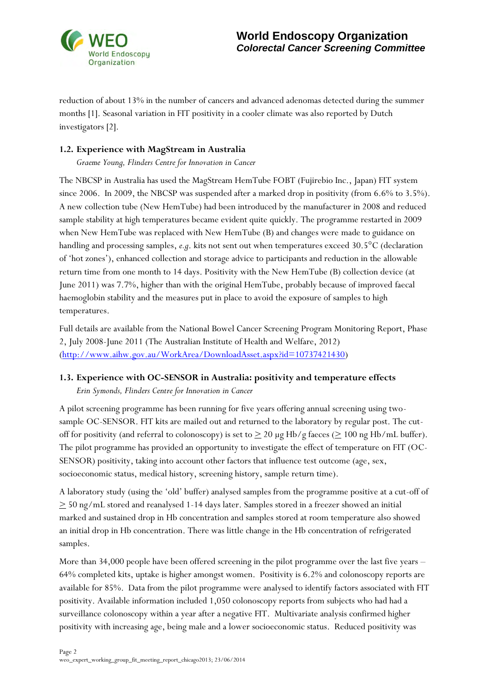

reduction of about 13% in the number of cancers and advanced adenomas detected during the summer months [1]. Seasonal variation in FIT positivity in a cooler climate was also reported by Dutch investigators [2].

### **1.2. Experience with MagStream in Australia**

*Graeme Young, Flinders Centre for Innovation in Cancer* 

The NBCSP in Australia has used the MagStream HemTube FOBT (Fujirebio Inc., Japan) FIT system since 2006. In 2009, the NBCSP was suspended after a marked drop in positivity (from 6.6% to 3.5%). A new collection tube (New HemTube) had been introduced by the manufacturer in 2008 and reduced sample stability at high temperatures became evident quite quickly. The programme restarted in 2009 when New HemTube was replaced with New HemTube (B) and changes were made to guidance on handling and processing samples, *e.g*. kits not sent out when temperatures exceed 30.5°C (declaration of 'hot zones'), enhanced collection and storage advice to participants and reduction in the allowable return time from one month to 14 days. Positivity with the New HemTube (B) collection device (at June 2011) was 7.7%, higher than with the original HemTube, probably because of improved faecal haemoglobin stability and the measures put in place to avoid the exposure of samples to high temperatures.

Full details are available from the National Bowel Cancer Screening Program Monitoring Report, Phase 2, July 2008-June 2011 (The Australian Institute of Health and Welfare, 2012) [\(http://www.aihw.gov.au/WorkArea/DownloadAsset.aspx?id=10737421430\)](http://www.aihw.gov.au/WorkArea/DownloadAsset.aspx?id=10737421430)

#### **1.3. Experience with OC-SENSOR in Australia: positivity and temperature effects**

*Erin Symonds, Flinders Centre for Innovation in Cancer* 

A pilot screening programme has been running for five years offering annual screening using twosample OC-SENSOR. FIT kits are mailed out and returned to the laboratory by regular post. The cutoff for positivity (and referral to colonoscopy) is set to  $\geq 20 \mu g H b/g$  faeces ( $\geq 100 \text{ ng Hb/mL buffer}$ ). The pilot programme has provided an opportunity to investigate the effect of temperature on FIT (OC-SENSOR) positivity, taking into account other factors that influence test outcome (age, sex, socioeconomic status, medical history, screening history, sample return time).

A laboratory study (using the 'old' buffer) analysed samples from the programme positive at a cut-off of  $\geq$  50 ng/mL stored and reanalysed 1-14 days later. Samples stored in a freezer showed an initial marked and sustained drop in Hb concentration and samples stored at room temperature also showed an initial drop in Hb concentration. There was little change in the Hb concentration of refrigerated samples.

More than 34,000 people have been offered screening in the pilot programme over the last five years – 64% completed kits, uptake is higher amongst women. Positivity is 6.2% and colonoscopy reports are available for 85%. Data from the pilot programme were analysed to identify factors associated with FIT positivity. Available information included 1,050 colonoscopy reports from subjects who had had a surveillance colonoscopy within a year after a negative FIT. Multivariate analysis confirmed higher positivity with increasing age, being male and a lower socioeconomic status. Reduced positivity was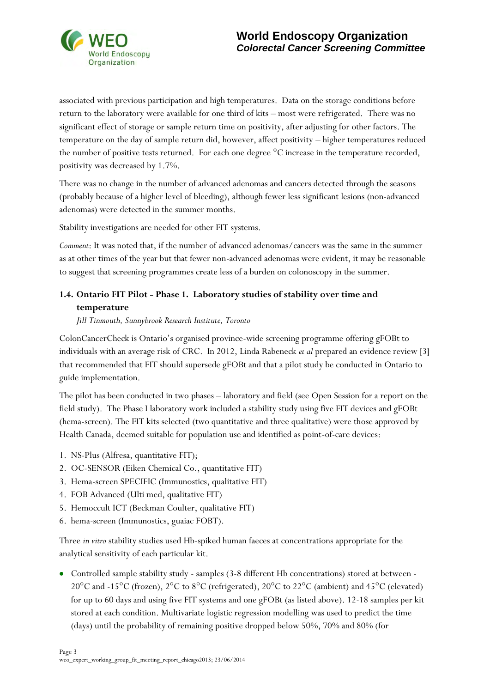

associated with previous participation and high temperatures. Data on the storage conditions before return to the laboratory were available for one third of kits – most were refrigerated. There was no significant effect of storage or sample return time on positivity, after adjusting for other factors. The temperature on the day of sample return did, however, affect positivity – higher temperatures reduced the number of positive tests returned. For each one degree °C increase in the temperature recorded, positivity was decreased by 1.7%.

There was no change in the number of advanced adenomas and cancers detected through the seasons (probably because of a higher level of bleeding), although fewer less significant lesions (non-advanced adenomas) were detected in the summer months.

Stability investigations are needed for other FIT systems.

*Comment*: It was noted that, if the number of advanced adenomas/cancers was the same in the summer as at other times of the year but that fewer non-advanced adenomas were evident, it may be reasonable to suggest that screening programmes create less of a burden on colonoscopy in the summer.

# **1.4. Ontario FIT Pilot - Phase 1. Laboratory studies of stability over time and temperature**

*Jill Tinmouth, Sunnybrook Research Institute, Toronto* 

ColonCancerCheck is Ontario's organised province-wide screening programme offering gFOBt to individuals with an average risk of CRC. In 2012, Linda Rabeneck *et al* prepared an evidence review [3] that recommended that FIT should supersede gFOBt and that a pilot study be conducted in Ontario to guide implementation.

The pilot has been conducted in two phases – laboratory and field (see Open Session for a report on the field study). The Phase I laboratory work included a stability study using five FIT devices and gFOBt (hema-screen). The FIT kits selected (two quantitative and three qualitative) were those approved by Health Canada, deemed suitable for population use and identified as point-of-care devices:

- 1. NS-Plus (Alfresa, quantitative FIT);
- 2. OC-SENSOR (Eiken Chemical Co., quantitative FIT)
- 3. Hema-screen SPECIFIC (Immunostics, qualitative FIT)
- 4. FOB Advanced (Ulti med, qualitative FIT)
- 5. Hemoccult ICT (Beckman Coulter, qualitative FIT)
- 6. hema-screen (Immunostics, guaiac FOBT).

Three *in vitro* stability studies used Hb-spiked human faeces at concentrations appropriate for the analytical sensitivity of each particular kit.

Controlled sample stability study - samples (3-8 different Hb concentrations) stored at between - 20°C and -15°C (frozen), 2°C to 8°C (refrigerated), 20°C to 22°C (ambient) and 45°C (elevated) for up to 60 days and using five FIT systems and one gFOBt (as listed above). 12-18 samples per kit stored at each condition. Multivariate logistic regression modelling was used to predict the time (days) until the probability of remaining positive dropped below 50%, 70% and 80% (for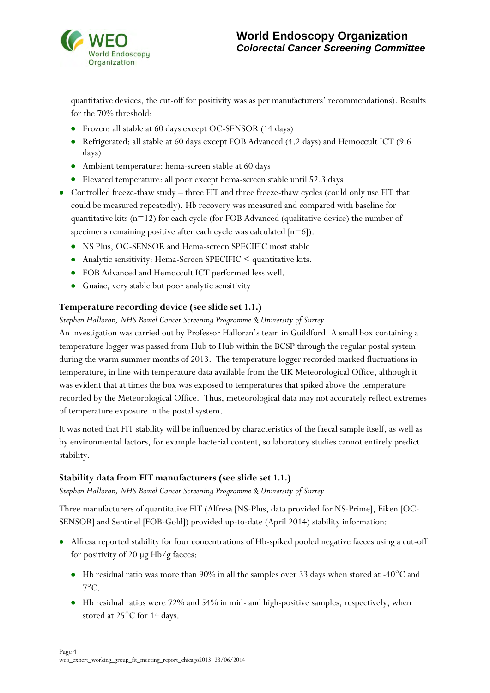

quantitative devices, the cut-off for positivity was as per manufacturers' recommendations). Results for the 70% threshold:

- Frozen: all stable at 60 days except OC-SENSOR (14 days)
- Refrigerated: all stable at 60 days except FOB Advanced (4.2 days) and Hemoccult ICT (9.6 days)
- Ambient temperature: hema-screen stable at 60 days
- Elevated temperature: all poor except hema-screen stable until 52.3 days
- Controlled freeze-thaw study three FIT and three freeze-thaw cycles (could only use FIT that could be measured repeatedly). Hb recovery was measured and compared with baseline for quantitative kits (n=12) for each cycle (for FOB Advanced (qualitative device) the number of specimens remaining positive after each cycle was calculated  $[n=6]$ .
	- NS Plus, OC-SENSOR and Hema-screen SPECIFIC most stable
	- Analytic sensitivity: Hema-Screen SPECIFIC < quantitative kits.
	- FOB Advanced and Hemoccult ICT performed less well.
	- Guaiac, very stable but poor analytic sensitivity

### **Temperature recording device (see slide set 1.1.)**

#### *Stephen Halloran, NHS Bowel Cancer Screening Programme & University of Surrey*

An investigation was carried out by Professor Halloran's team in Guildford. A small box containing a temperature logger was passed from Hub to Hub within the BCSP through the regular postal system during the warm summer months of 2013. The temperature logger recorded marked fluctuations in temperature, in line with temperature data available from the UK Meteorological Office, although it was evident that at times the box was exposed to temperatures that spiked above the temperature recorded by the Meteorological Office. Thus, meteorological data may not accurately reflect extremes of temperature exposure in the postal system.

It was noted that FIT stability will be influenced by characteristics of the faecal sample itself, as well as by environmental factors, for example bacterial content, so laboratory studies cannot entirely predict stability.

#### **Stability data from FIT manufacturers (see slide set 1.1.)**

*Stephen Halloran, NHS Bowel Cancer Screening Programme & University of Surrey* 

Three manufacturers of quantitative FIT (Alfresa [NS-Plus, data provided for NS-Prime], Eiken [OC-SENSOR] and Sentinel [FOB-Gold]) provided up-to-date (April 2014) stability information:

- Alfresa reported stability for four concentrations of Hb-spiked pooled negative faeces using a cut-off for positivity of 20 µg Hb/g faeces:
	- Hb residual ratio was more than 90% in all the samples over 33 days when stored at -40°C and  $7^{\circ}$ C.
	- Hb residual ratios were 72% and 54% in mid- and high-positive samples, respectively, when stored at 25°C for 14 days.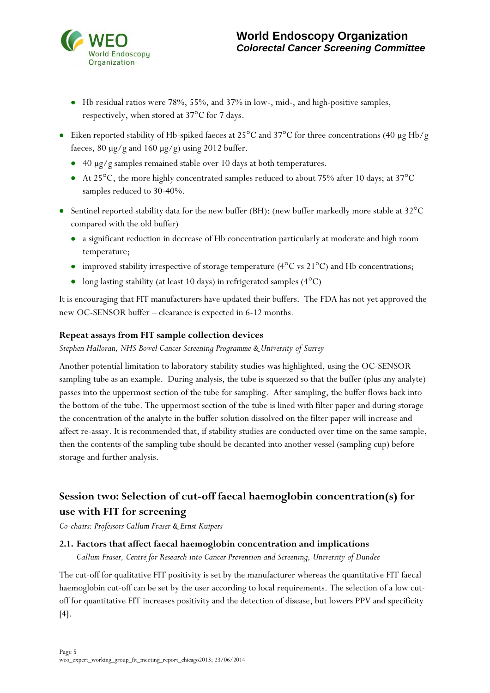

- Hb residual ratios were 78%, 55%, and 37% in low-, mid-, and high-positive samples, respectively, when stored at 37°C for 7 days.
- Eiken reported stability of Hb-spiked faeces at 25°C and 37°C for three concentrations (40 µg Hb/g faeces, 80  $\mu$ g/g and 160  $\mu$ g/g) using 2012 buffer.
	- 40 µg/g samples remained stable over 10 days at both temperatures.
	- At 25<sup>o</sup>C, the more highly concentrated samples reduced to about 75% after 10 days; at 37<sup>o</sup>C samples reduced to 30-40%.
- Sentinel reported stability data for the new buffer (BH): (new buffer markedly more stable at 32°C compared with the old buffer)
	- a significant reduction in decrease of Hb concentration particularly at moderate and high room temperature;
	- improved stability irrespective of storage temperature ( $4^{\circ}$ C vs  $21^{\circ}$ C) and Hb concentrations;
	- long lasting stability (at least 10 days) in refrigerated samples  $(4^{\circ}C)$

It is encouraging that FIT manufacturers have updated their buffers. The FDA has not yet approved the new OC-SENSOR buffer – clearance is expected in 6-12 months.

#### **Repeat assays from FIT sample collection devices**

*Stephen Halloran, NHS Bowel Cancer Screening Programme & University of Surrey*

Another potential limitation to laboratory stability studies was highlighted, using the OC-SENSOR sampling tube as an example. During analysis, the tube is squeezed so that the buffer (plus any analyte) passes into the uppermost section of the tube for sampling. After sampling, the buffer flows back into the bottom of the tube. The uppermost section of the tube is lined with filter paper and during storage the concentration of the analyte in the buffer solution dissolved on the filter paper will increase and affect re-assay. It is recommended that, if stability studies are conducted over time on the same sample, then the contents of the sampling tube should be decanted into another vessel (sampling cup) before storage and further analysis.

# **Session two: Selection of cut-off faecal haemoglobin concentration(s) for use with FIT for screening**

*Co-chairs: Professors Callum Fraser & Ernst Kuipers* 

#### **2.1. Factors that affect faecal haemoglobin concentration and implications**

*Callum Fraser, Centre for Research into Cancer Prevention and Screening, University of Dundee* 

The cut-off for qualitative FIT positivity is set by the manufacturer whereas the quantitative FIT faecal haemoglobin cut-off can be set by the user according to local requirements. The selection of a low cutoff for quantitative FIT increases positivity and the detection of disease, but lowers PPV and specificity [4].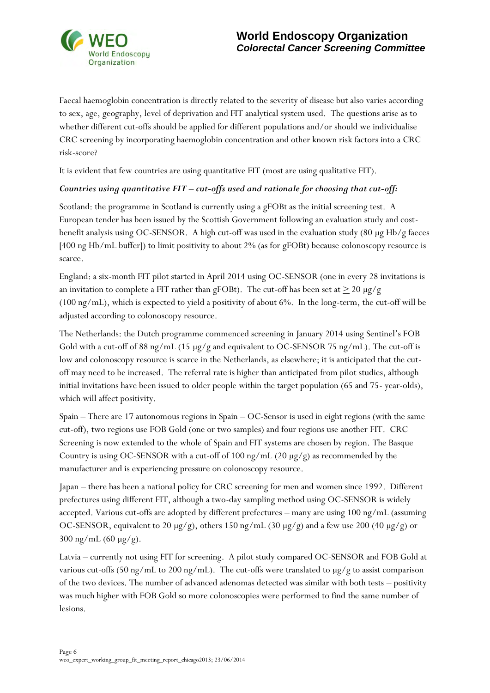

Faecal haemoglobin concentration is directly related to the severity of disease but also varies according to sex, age, geography, level of deprivation and FIT analytical system used. The questions arise as to whether different cut-offs should be applied for different populations and/or should we individualise CRC screening by incorporating haemoglobin concentration and other known risk factors into a CRC risk-score?

It is evident that few countries are using quantitative FIT (most are using qualitative FIT).

#### *Countries using quantitative FIT – cut-offs used and rationale for choosing that cut-off:*

Scotland: the programme in Scotland is currently using a gFOBt as the initial screening test. A European tender has been issued by the Scottish Government following an evaluation study and costbenefit analysis using OC-SENSOR. A high cut-off was used in the evaluation study (80 µg Hb/g faeces [400 ng Hb/mL buffer]) to limit positivity to about 2% (as for gFOBt) because colonoscopy resource is scarce.

England: a six-month FIT pilot started in April 2014 using OC-SENSOR (one in every 28 invitations is an invitation to complete a FIT rather than gFOBt). The cut-off has been set at  $\geq 20 \mu g/g$ (100 ng/mL), which is expected to yield a positivity of about 6%. In the long-term, the cut-off will be adjusted according to colonoscopy resource.

The Netherlands: the Dutch programme commenced screening in January 2014 using Sentinel's FOB Gold with a cut-off of 88 ng/mL (15 µg/g and equivalent to OC-SENSOR 75 ng/mL). The cut-off is low and colonoscopy resource is scarce in the Netherlands, as elsewhere; it is anticipated that the cutoff may need to be increased. The referral rate is higher than anticipated from pilot studies, although initial invitations have been issued to older people within the target population (65 and 75- year-olds), which will affect positivity.

Spain – There are 17 autonomous regions in Spain – OC-Sensor is used in eight regions (with the same cut-off), two regions use FOB Gold (one or two samples) and four regions use another FIT. CRC Screening is now extended to the whole of Spain and FIT systems are chosen by region. The Basque Country is using OC-SENSOR with a cut-off of 100 ng/mL (20  $\mu$ g/g) as recommended by the manufacturer and is experiencing pressure on colonoscopy resource.

Japan – there has been a national policy for CRC screening for men and women since 1992. Different prefectures using different FIT, although a two-day sampling method using OC-SENSOR is widely accepted. Various cut-offs are adopted by different prefectures – many are using 100 ng/mL (assuming OC-SENSOR, equivalent to 20 µg/g), others 150 ng/mL (30 µg/g) and a few use 200 (40 µg/g) or  $300 \text{ ng/mL } (60 \text{ µg/g}).$ 

Latvia – currently not using FIT for screening. A pilot study compared OC-SENSOR and FOB Gold at various cut-offs (50 ng/mL to 200 ng/mL). The cut-offs were translated to  $\mu$ g/g to assist comparison of the two devices. The number of advanced adenomas detected was similar with both tests – positivity was much higher with FOB Gold so more colonoscopies were performed to find the same number of lesions.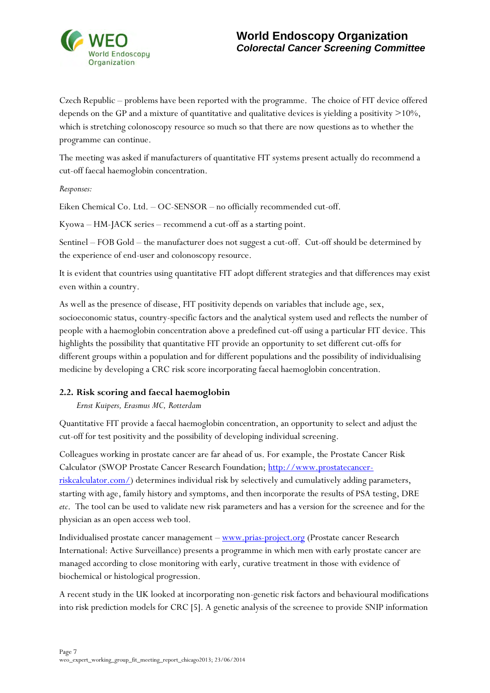

Czech Republic – problems have been reported with the programme. The choice of FIT device offered depends on the GP and a mixture of quantitative and qualitative devices is yielding a positivity >10%, which is stretching colonoscopy resource so much so that there are now questions as to whether the programme can continue.

The meeting was asked if manufacturers of quantitative FIT systems present actually do recommend a cut-off faecal haemoglobin concentration.

*Responses:* 

Eiken Chemical Co. Ltd. – OC-SENSOR – no officially recommended cut-off.

Kyowa – HM-JACK series – recommend a cut-off as a starting point.

Sentinel – FOB Gold – the manufacturer does not suggest a cut-off. Cut-off should be determined by the experience of end-user and colonoscopy resource.

It is evident that countries using quantitative FIT adopt different strategies and that differences may exist even within a country.

As well as the presence of disease, FIT positivity depends on variables that include age, sex, socioeconomic status, country-specific factors and the analytical system used and reflects the number of people with a haemoglobin concentration above a predefined cut-off using a particular FIT device. This highlights the possibility that quantitative FIT provide an opportunity to set different cut-offs for different groups within a population and for different populations and the possibility of individualising medicine by developing a CRC risk score incorporating faecal haemoglobin concentration.

#### **2.2. Risk scoring and faecal haemoglobin**

*Ernst Kuipers, Erasmus MC, Rotterdam* 

Quantitative FIT provide a faecal haemoglobin concentration, an opportunity to select and adjust the cut-off for test positivity and the possibility of developing individual screening.

Colleagues working in prostate cancer are far ahead of us. For example, the Prostate Cancer Risk Calculator (SWOP Prostate Cancer Research Foundation; [http://www.prostatecancer](http://www.prostatecancer-riskcalculator.com/)[riskcalculator.com/\)](http://www.prostatecancer-riskcalculator.com/) determines individual risk by selectively and cumulatively adding parameters, starting with age, family history and symptoms, and then incorporate the results of PSA testing, DRE *etc*. The tool can be used to validate new risk parameters and has a version for the screenee and for the physician as an open access web tool.

Individualised prostate cancer management – [www.prias-project.org](http://www.prias-project.org/) (Prostate cancer Research International: Active Surveillance) presents a programme in which men with early prostate cancer are managed according to close monitoring with early, curative treatment in those with evidence of biochemical or histological progression.

A recent study in the UK looked at incorporating non-genetic risk factors and behavioural modifications into risk prediction models for CRC [5]. A genetic analysis of the screenee to provide SNIP information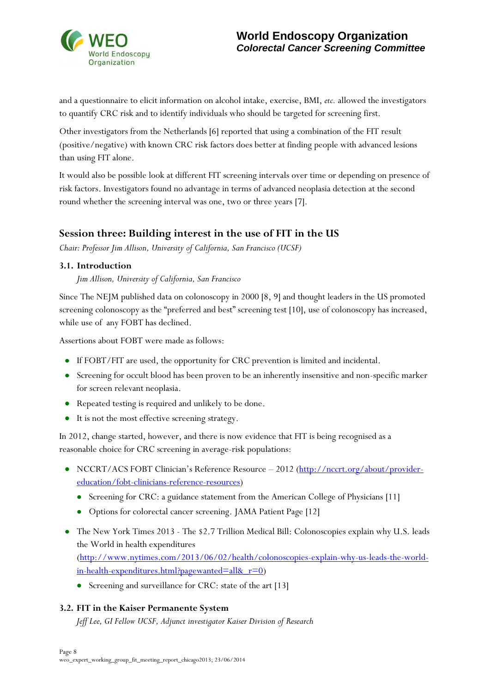

and a questionnaire to elicit information on alcohol intake, exercise, BMI, *etc.* allowed the investigators to quantify CRC risk and to identify individuals who should be targeted for screening first.

Other investigators from the Netherlands [6] reported that using a combination of the FIT result (positive/negative) with known CRC risk factors does better at finding people with advanced lesions than using FIT alone.

It would also be possible look at different FIT screening intervals over time or depending on presence of risk factors. Investigators found no advantage in terms of advanced neoplasia detection at the second round whether the screening interval was one, two or three years [7].

## **Session three: Building interest in the use of FIT in the US**

*Chair: Professor Jim Allison, University of California, San Francisco (UCSF)* 

#### **3.1. Introduction**

*Jim Allison, University of California, San Francisco*

Since The NEJM published data on colonoscopy in 2000 [8, 9] and thought leaders in the US promoted screening colonoscopy as the "preferred and best" screening test [10], use of colonoscopy has increased, while use of any FOBT has declined.

Assertions about FOBT were made as follows:

- If FOBT/FIT are used, the opportunity for CRC prevention is limited and incidental.
- Screening for occult blood has been proven to be an inherently insensitive and non-specific marker for screen relevant neoplasia.
- Repeated testing is required and unlikely to be done.
- It is not the most effective screening strategy.

In 2012, change started, however, and there is now evidence that FIT is being recognised as a reasonable choice for CRC screening in average-risk populations:

- NCCRT/ACS FOBT Clinician's Reference Resource 2012 [\(http://nccrt.org/about/provider](http://nccrt.org/about/provider-education/fobt-clinicians-reference-resources)[education/fobt-clinicians-reference-resources\)](http://nccrt.org/about/provider-education/fobt-clinicians-reference-resources)
	- Screening for CRC: a guidance statement from the American College of Physicians [11]
	- Options for colorectal cancer screening. JAMA Patient Page [12]
- The New York Times 2013 The \$2.7 Trillion Medical Bill: Colonoscopies explain why U.S. leads the World in health expenditures [\(http://www.nytimes.com/2013/06/02/health/colonoscopies-explain-why-us-leads-the-world](http://www.nytimes.com/2013/06/02/health/colonoscopies-explain-why-us-leads-the-world-in-health-expenditures.html?pagewanted=all&_r=0)[in-health-expenditures.html?pagewanted=all&\\_r=0\)](http://www.nytimes.com/2013/06/02/health/colonoscopies-explain-why-us-leads-the-world-in-health-expenditures.html?pagewanted=all&_r=0)
	- Screening and surveillance for CRC: state of the art [13]

#### **3.2. FIT in the Kaiser Permanente System**

*Jeff Lee, GI Fellow UCSF, Adjunct investigator Kaiser Division of Research*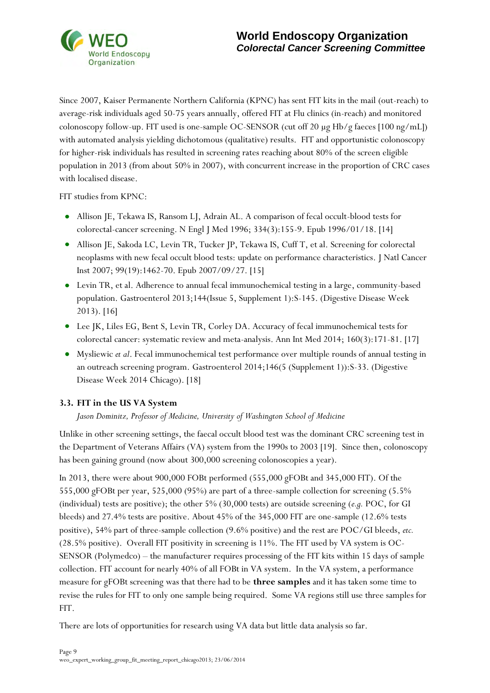

Since 2007, Kaiser Permanente Northern California (KPNC) has sent FIT kits in the mail (out-reach) to average-risk individuals aged 50-75 years annually, offered FIT at Flu clinics (in-reach) and monitored colonoscopy follow-up. FIT used is one-sample OC-SENSOR (cut off 20 µg Hb/g faeces [100 ng/mL]) with automated analysis yielding dichotomous (qualitative) results. FIT and opportunistic colonoscopy for higher-risk individuals has resulted in screening rates reaching about 80% of the screen eligible population in 2013 (from about 50% in 2007), with concurrent increase in the proportion of CRC cases with localised disease.

FIT studies from KPNC:

- Allison JE, Tekawa IS, Ransom LJ, Adrain AL. A comparison of fecal occult-blood tests for colorectal-cancer screening. N Engl J Med 1996; 334(3):155-9. Epub 1996/01/18. [14]
- Allison JE, Sakoda LC, Levin TR, Tucker JP, Tekawa IS, Cuff T, et al. Screening for colorectal neoplasms with new fecal occult blood tests: update on performance characteristics. J Natl Cancer Inst 2007; 99(19):1462-70. Epub 2007/09/27. [15]
- Levin TR, et al. Adherence to annual fecal immunochemical testing in a large, community-based population. Gastroenterol 2013;144(Issue 5, Supplement 1):S-145. (Digestive Disease Week 2013). [16]
- Lee JK, Liles EG, Bent S, Levin TR, Corley DA. Accuracy of fecal immunochemical tests for colorectal cancer: systematic review and meta-analysis. Ann Int Med 2014; 160(3):171-81. [17]
- Mysliewic *et al*. Fecal immunochemical test performance over multiple rounds of annual testing in an outreach screening program. Gastroenterol 2014;146(5 (Supplement 1)):S-33. (Digestive Disease Week 2014 Chicago). [18]

#### **3.3. FIT in the US VA System**

*Jason Dominitz, Professor of Medicine, University of Washington School of Medicine* 

Unlike in other screening settings, the faecal occult blood test was the dominant CRC screening test in the Department of Veterans Affairs (VA) system from the 1990s to 2003 [19]. Since then, colonoscopy has been gaining ground (now about 300,000 screening colonoscopies a year).

In 2013, there were about 900,000 FOBt performed (555,000 gFOBt and 345,000 FIT). Of the 555,000 gFOBt per year, 525,000 (95%) are part of a three-sample collection for screening (5.5% (individual) tests are positive); the other 5% (30,000 tests) are outside screening (*e.g.* POC, for GI bleeds) and 27.4% tests are positive. About 45% of the 345,000 FIT are one-sample (12.6% tests positive), 54% part of three-sample collection (9.6% positive) and the rest are POC/GI bleeds, *etc.* (28.5% positive). Overall FIT positivity in screening is 11%. The FIT used by VA system is OC-SENSOR (Polymedco) – the manufacturer requires processing of the FIT kits within 15 days of sample collection. FIT account for nearly 40% of all FOBt in VA system. In the VA system, a performance measure for gFOBt screening was that there had to be **three samples** and it has taken some time to revise the rules for FIT to only one sample being required. Some VA regions still use three samples for FIT.

There are lots of opportunities for research using VA data but little data analysis so far.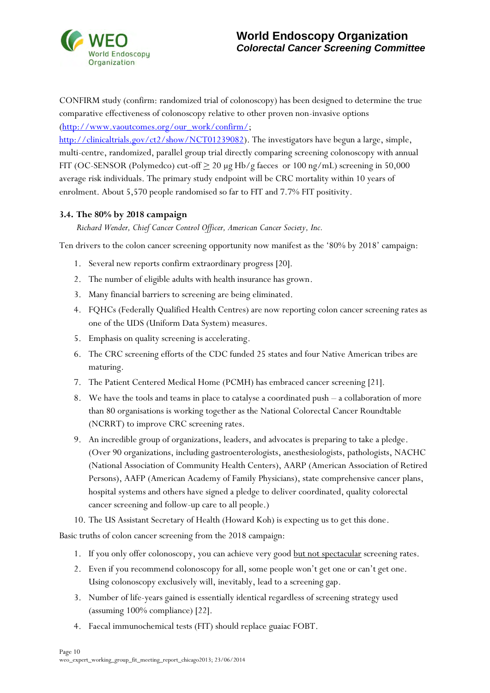

CONFIRM study (confirm: randomized trial of colonoscopy) has been designed to determine the true comparative effectiveness of colonoscopy relative to other proven non-invasive options [\(http://www.vaoutcomes.org/our\\_work/confirm/;](http://www.vaoutcomes.org/our_work/confirm/)

[http://clinicaltrials.gov/ct2/show/NCT01239082\)](http://clinicaltrials.gov/ct2/show/NCT01239082). The investigators have begun a large, simple, multi-centre, randomized, parallel group trial directly comparing screening colonoscopy with annual FIT (OC-SENSOR (Polymedco) cut-off  $\geq 20 \mu g Hb/g$  faeces or 100 ng/mL) screening in 50,000 average risk individuals. The primary study endpoint will be CRC mortality within 10 years of enrolment. About 5,570 people randomised so far to FIT and 7.7% FIT positivity.

#### **3.4. The 80% by 2018 campaign**

*Richard Wender, Chief Cancer Control Officer, American Cancer Society, Inc.* 

Ten drivers to the colon cancer screening opportunity now manifest as the '80% by 2018' campaign:

- 1. Several new reports confirm extraordinary progress [20].
- 2. The number of eligible adults with health insurance has grown.
- 3. Many financial barriers to screening are being eliminated.
- 4. FQHCs (Federally Qualified Health Centres) are now reporting colon cancer screening rates as one of the UDS (Uniform Data System) measures.
- 5. Emphasis on quality screening is accelerating.
- 6. The CRC screening efforts of the CDC funded 25 states and four Native American tribes are maturing.
- 7. The Patient Centered Medical Home (PCMH) has embraced cancer screening [21].
- 8. We have the tools and teams in place to catalyse a coordinated push a collaboration of more than 80 organisations is working together as the National Colorectal Cancer Roundtable (NCRRT) to improve CRC screening rates.
- 9. An incredible group of organizations, leaders, and advocates is preparing to take a pledge. (Over 90 organizations, including gastroenterologists, anesthesiologists, pathologists, NACHC (National Association of Community Health Centers), AARP (American Association of Retired Persons), AAFP (American Academy of Family Physicians), state comprehensive cancer plans, hospital systems and others have signed a pledge to deliver coordinated, quality colorectal cancer screening and follow-up care to all people.)
- 10. The US Assistant Secretary of Health (Howard Koh) is expecting us to get this done.

Basic truths of colon cancer screening from the 2018 campaign:

- 1. If you only offer colonoscopy, you can achieve very good but not spectacular screening rates.
- 2. Even if you recommend colonoscopy for all, some people won't get one or can't get one. Using colonoscopy exclusively will, inevitably, lead to a screening gap.
- 3. Number of life-years gained is essentially identical regardless of screening strategy used (assuming 100% compliance) [22].
- 4. Faecal immunochemical tests (FIT) should replace guaiac FOBT.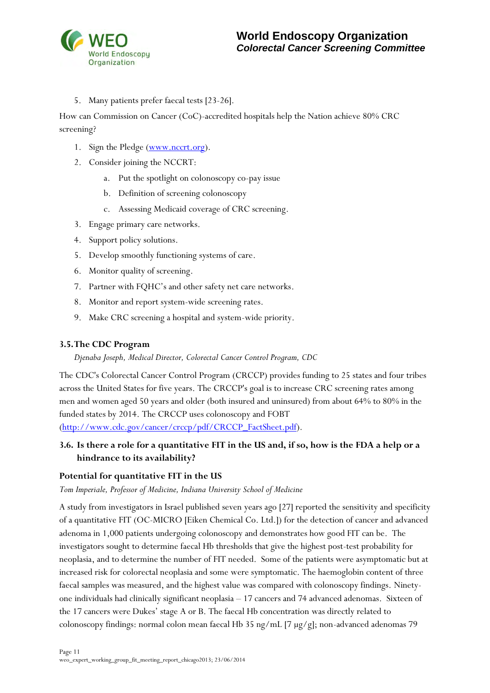

5. Many patients prefer faecal tests [23-26].

How can Commission on Cancer (CoC)-accredited hospitals help the Nation achieve 80% CRC screening?

- 1. Sign the Pledge [\(www.nccrt.org\)](http://www.nccrt.org/).
- 2. Consider joining the NCCRT:
	- a. Put the spotlight on colonoscopy co-pay issue
	- b. Definition of screening colonoscopy
	- c. Assessing Medicaid coverage of CRC screening.
- 3. Engage primary care networks.
- 4. Support policy solutions.
- 5. Develop smoothly functioning systems of care.
- 6. Monitor quality of screening.
- 7. Partner with FQHC's and other safety net care networks.
- 8. Monitor and report system-wide screening rates.
- 9. Make CRC screening a hospital and system-wide priority.

#### **3.5. The CDC Program**

*Djenaba Joseph, Medical Director, Colorectal Cancer Control Program, CDC*

The CDC's Colorectal Cancer Control Program (CRCCP) provides funding to 25 states and four tribes across the United States for five years. The CRCCP's goal is to increase CRC screening rates among men and women aged 50 years and older (both insured and uninsured) from about 64% to 80% in the funded states by 2014. The CRCCP uses colonoscopy and FOBT

[\(http://www.cdc.gov/cancer/crccp/pdf/CRCCP\\_FactSheet.pdf\)](http://www.cdc.gov/cancer/crccp/pdf/CRCCP_FactSheet.pdf).

## **3.6. Is there a role for a quantitative FIT in the US and, if so, how is the FDA a help or a hindrance to its availability?**

#### **Potential for quantitative FIT in the US**

*Tom Imperiale, Professor of Medicine, Indiana University School of Medicine*

A study from investigators in Israel published seven years ago [27] reported the sensitivity and specificity of a quantitative FIT (OC-MICRO [Eiken Chemical Co. Ltd.]) for the detection of cancer and advanced adenoma in 1,000 patients undergoing colonoscopy and demonstrates how good FIT can be. The investigators sought to determine faecal Hb thresholds that give the highest post-test probability for neoplasia, and to determine the number of FIT needed. Some of the patients were asymptomatic but at increased risk for colorectal neoplasia and some were symptomatic. The haemoglobin content of three faecal samples was measured, and the highest value was compared with colonoscopy findings. Ninetyone individuals had clinically significant neoplasia – 17 cancers and 74 advanced adenomas. Sixteen of the 17 cancers were Dukes' stage A or B. The faecal Hb concentration was directly related to colonoscopy findings: normal colon mean faecal Hb 35 ng/mL [7 µg/g]; non-advanced adenomas 79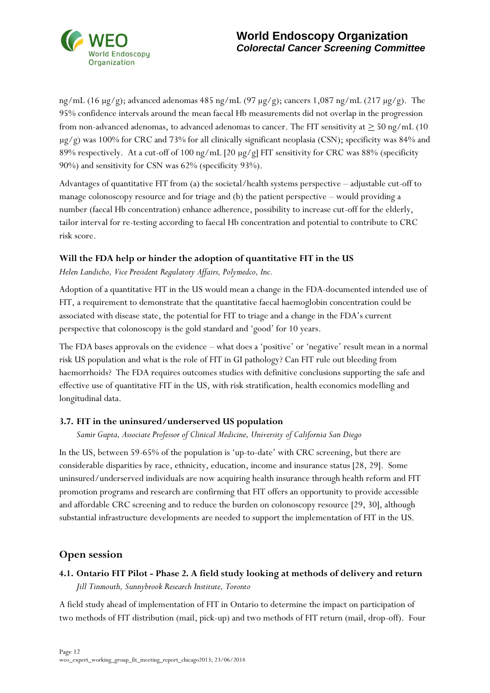

ng/mL (16  $\mu$ g/g); advanced adenomas 485 ng/mL (97  $\mu$ g/g); cancers 1,087 ng/mL (217  $\mu$ g/g). The 95% confidence intervals around the mean faecal Hb measurements did not overlap in the progression from non-advanced adenomas, to advanced adenomas to cancer. The FIT sensitivity at  $\geq$  50 ng/mL (10)  $\mu$ g/g) was 100% for CRC and 73% for all clinically significant neoplasia (CSN); specificity was 84% and 89% respectively. At a cut-off of 100 ng/mL [20 µg/g] FIT sensitivity for CRC was 88% (specificity 90%) and sensitivity for CSN was 62% (specificity 93%).

Advantages of quantitative FIT from (a) the societal/health systems perspective – adjustable cut-off to manage colonoscopy resource and for triage and (b) the patient perspective – would providing a number (faecal Hb concentration) enhance adherence, possibility to increase cut-off for the elderly, tailor interval for re-testing according to faecal Hb concentration and potential to contribute to CRC risk score.

### **Will the FDA help or hinder the adoption of quantitative FIT in the US**

*Helen Landicho, Vice President Regulatory Affairs, Polymedco, Inc.* 

Adoption of a quantitative FIT in the US would mean a change in the FDA-documented intended use of FIT, a requirement to demonstrate that the quantitative faecal haemoglobin concentration could be associated with disease state, the potential for FIT to triage and a change in the FDA's current perspective that colonoscopy is the gold standard and 'good' for 10 years.

The FDA bases approvals on the evidence – what does a 'positive' or 'negative' result mean in a normal risk US population and what is the role of FIT in GI pathology? Can FIT rule out bleeding from haemorrhoids? The FDA requires outcomes studies with definitive conclusions supporting the safe and effective use of quantitative FIT in the US, with risk stratification, health economics modelling and longitudinal data.

#### **3.7. FIT in the uninsured/underserved US population**

*Samir Gupta, Associate Professor of Clinical Medicine, University of California San Diego* 

In the US, between 59-65% of the population is 'up-to-date' with CRC screening, but there are considerable disparities by race, ethnicity, education, income and insurance status [28, 29]. Some uninsured/underserved individuals are now acquiring health insurance through health reform and FIT promotion programs and research are confirming that FIT offers an opportunity to provide accessible and affordable CRC screening and to reduce the burden on colonoscopy resource [29, 30], although substantial infrastructure developments are needed to support the implementation of FIT in the US.

## **Open session**

## **4.1. Ontario FIT Pilot - Phase 2. A field study looking at methods of delivery and return**  *Jill Tinmouth, Sunnybrook Research Institute, Toronto*

A field study ahead of implementation of FIT in Ontario to determine the impact on participation of two methods of FIT distribution (mail, pick-up) and two methods of FIT return (mail, drop-off). Four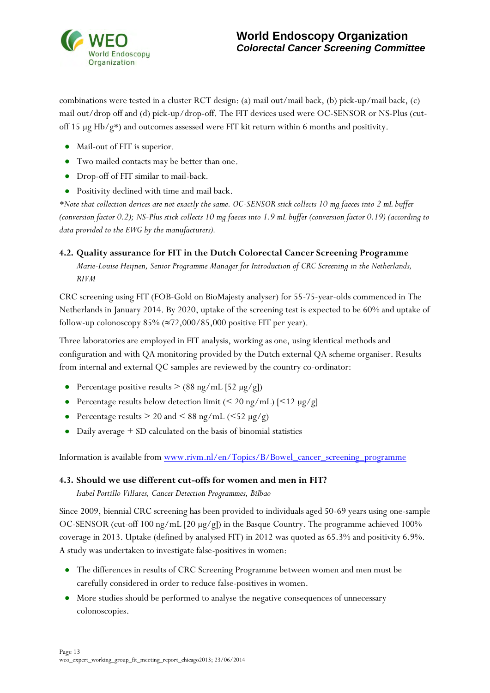

combinations were tested in a cluster RCT design: (a) mail out/mail back, (b) pick-up/mail back, (c) mail out/drop off and (d) pick-up/drop-off. The FIT devices used were OC-SENSOR or NS-Plus (cutoff 15  $\mu$ g Hb/g\*) and outcomes assessed were FIT kit return within 6 months and positivity.

- Mail-out of FIT is superior.
- Two mailed contacts may be better than one.
- Drop-off of FIT similar to mail-back.
- Positivity declined with time and mail back.

*\*Note that collection devices are not exactly the same. OC-SENSOR stick collects 10 mg faeces into 2 mL buffer (conversion factor 0.2); NS-Plus stick collects 10 mg faeces into 1.9 mL buffer (conversion factor 0.19) (according to data provided to the EWG by the manufacturers).* 

#### **4.2. Quality assurance for FIT in the Dutch Colorectal Cancer Screening Programme**

*Marie-Louise Heijnen, Senior Programme Manager for Introduction of CRC Screening in the Netherlands, RIVM* 

CRC screening using FIT (FOB-Gold on BioMajesty analyser) for 55-75-year-olds commenced in The Netherlands in January 2014. By 2020, uptake of the screening test is expected to be 60% and uptake of follow-up colonoscopy  $85\%$  ( $\approx$ 72,000/85,000 positive FIT per year).

Three laboratories are employed in FIT analysis, working as one, using identical methods and configuration and with QA monitoring provided by the Dutch external QA scheme organiser. Results from internal and external QC samples are reviewed by the country co-ordinator:

- Percentage positive results  $> (88 \text{ ng/mL} [52 \text{ µg/g}])$
- Percentage results below detection limit  $(< 20$  ng/mL)  $|< 12$  µg/g]
- Percentage results  $> 20$  and  $< 88$  ng/mL ( $< 52 \mu$ g/g)
- Daily average + SD calculated on the basis of binomial statistics

Information is available from [www.rivm.nl/en/Topics/B/Bowel\\_cancer\\_screening\\_programme](http://www.rivm.nl/en/Topics/B/Bowel_cancer_screening_programme)

#### **4.3. Should we use different cut-offs for women and men in FIT?**

*Isabel Portillo Villares, Cancer Detection Programmes, Bilbao* 

Since 2009, biennial CRC screening has been provided to individuals aged 50-69 years using one-sample OC-SENSOR (cut-off 100 ng/mL [20 µg/g]) in the Basque Country. The programme achieved 100% coverage in 2013. Uptake (defined by analysed FIT) in 2012 was quoted as 65.3% and positivity 6.9%. A study was undertaken to investigate false-positives in women:

- The differences in results of CRC Screening Programme between women and men must be carefully considered in order to reduce false-positives in women.
- More studies should be performed to analyse the negative consequences of unnecessary colonoscopies.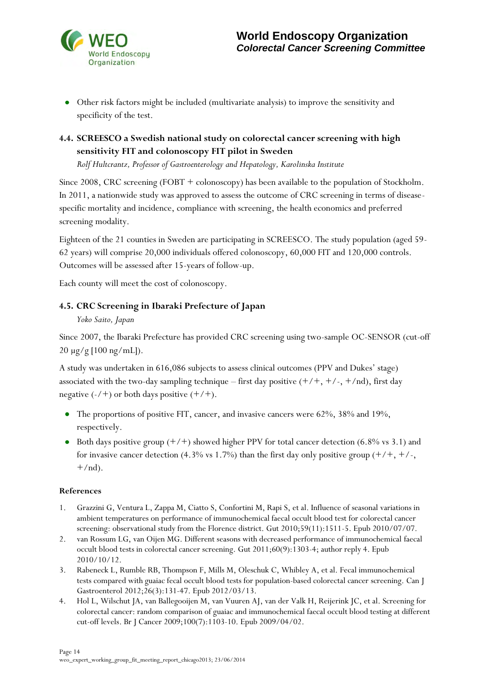

Other risk factors might be included (multivariate analysis) to improve the sensitivity and specificity of the test.

## **4.4. SCREESCO a Swedish national study on colorectal cancer screening with high sensitivity FIT and colonoscopy FIT pilot in Sweden**

*Rolf Hultcrantz, Professor of Gastroenterology and Hepatology, Karolinska Institute* 

Since 2008, CRC screening (FOBT + colonoscopy) has been available to the population of Stockholm. In 2011, a nationwide study was approved to assess the outcome of CRC screening in terms of diseasespecific mortality and incidence, compliance with screening, the health economics and preferred screening modality.

Eighteen of the 21 counties in Sweden are participating in SCREESCO. The study population (aged 59- 62 years) will comprise 20,000 individuals offered colonoscopy, 60,000 FIT and 120,000 controls. Outcomes will be assessed after 15-years of follow-up.

Each county will meet the cost of colonoscopy.

## **4.5. CRC Screening in Ibaraki Prefecture of Japan**

#### *Yoko Saito, Japan*

Since 2007, the Ibaraki Prefecture has provided CRC screening using two-sample OC-SENSOR (cut-off 20 µg/g [100 ng/mL]).

A study was undertaken in 616,086 subjects to assess clinical outcomes (PPV and Dukes' stage) associated with the two-day sampling technique – first day positive  $(+/+, +/-, +/nd)$ , first day negative  $(-/+)$  or both days positive  $(+/+)$ .

- The proportions of positive FIT, cancer, and invasive cancers were 62%, 38% and 19%,  $\bullet$ respectively.
- Both days positive group  $(+/+)$  showed higher PPV for total cancer detection (6.8% vs 3.1) and for invasive cancer detection (4.3% vs 1.7%) than the first day only positive group  $(+/+, +/-,$  $+/nd$ ).

#### **References**

- 1. Grazzini G, Ventura L, Zappa M, Ciatto S, Confortini M, Rapi S, et al. Influence of seasonal variations in ambient temperatures on performance of immunochemical faecal occult blood test for colorectal cancer screening: observational study from the Florence district. Gut 2010;59(11):1511-5. Epub 2010/07/07.
- 2. van Rossum LG, van Oijen MG. Different seasons with decreased performance of immunochemical faecal occult blood tests in colorectal cancer screening. Gut 2011;60(9):1303-4; author reply 4. Epub 2010/10/12.
- 3. Rabeneck L, Rumble RB, Thompson F, Mills M, Oleschuk C, Whibley A, et al. Fecal immunochemical tests compared with guaiac fecal occult blood tests for population-based colorectal cancer screening. Can J Gastroenterol 2012;26(3):131-47. Epub 2012/03/13.
- 4. Hol L, Wilschut JA, van Ballegooijen M, van Vuuren AJ, van der Valk H, Reijerink JC, et al. Screening for colorectal cancer: random comparison of guaiac and immunochemical faecal occult blood testing at different cut-off levels. Br J Cancer 2009;100(7):1103-10. Epub 2009/04/02.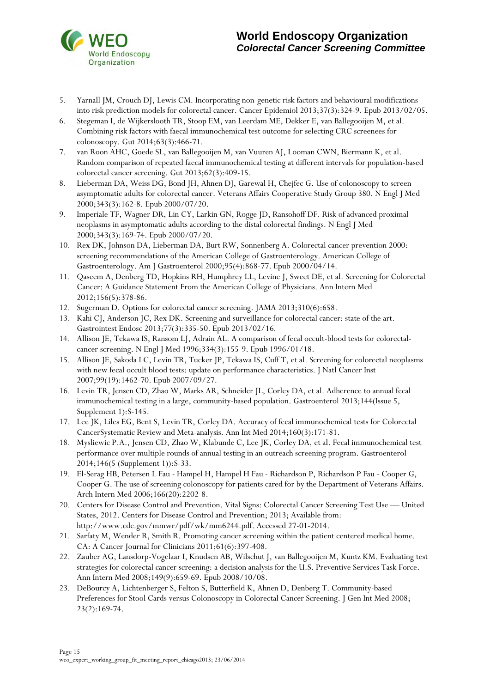

- 5. Yarnall JM, Crouch DJ, Lewis CM. Incorporating non-genetic risk factors and behavioural modifications into risk prediction models for colorectal cancer. Cancer Epidemiol 2013;37(3):324-9. Epub 2013/02/05.
- 6. Stegeman I, de Wijkerslooth TR, Stoop EM, van Leerdam ME, Dekker E, van Ballegooijen M, et al. Combining risk factors with faecal immunochemical test outcome for selecting CRC screenees for colonoscopy. Gut 2014;63(3):466-71.
- 7. van Roon AHC, Goede SL, van Ballegooijen M, van Vuuren AJ, Looman CWN, Biermann K, et al. Random comparison of repeated faecal immunochemical testing at different intervals for population-based colorectal cancer screening. Gut 2013;62(3):409-15.
- 8. Lieberman DA, Weiss DG, Bond JH, Ahnen DJ, Garewal H, Chejfec G. Use of colonoscopy to screen asymptomatic adults for colorectal cancer. Veterans Affairs Cooperative Study Group 380. N Engl J Med 2000;343(3):162-8. Epub 2000/07/20.
- 9. Imperiale TF, Wagner DR, Lin CY, Larkin GN, Rogge JD, Ransohoff DF. Risk of advanced proximal neoplasms in asymptomatic adults according to the distal colorectal findings. N Engl J Med 2000;343(3):169-74. Epub 2000/07/20.
- 10. Rex DK, Johnson DA, Lieberman DA, Burt RW, Sonnenberg A. Colorectal cancer prevention 2000: screening recommendations of the American College of Gastroenterology. American College of Gastroenterology. Am J Gastroenterol 2000;95(4):868-77. Epub 2000/04/14.
- 11. Qaseem A, Denberg TD, Hopkins RH, Humphrey LL, Levine J, Sweet DE, et al. Screening for Colorectal Cancer: A Guidance Statement From the American College of Physicians. Ann Intern Med 2012;156(5):378-86.
- 12. Sugerman D. Options for colorectal cancer screening. JAMA 2013;310(6):658.
- 13. Kahi CJ, Anderson JC, Rex DK. Screening and surveillance for colorectal cancer: state of the art. Gastrointest Endosc 2013;77(3):335-50. Epub 2013/02/16.
- 14. Allison JE, Tekawa IS, Ransom LJ, Adrain AL. A comparison of fecal occult-blood tests for colorectalcancer screening. N Engl J Med 1996;334(3):155-9. Epub 1996/01/18.
- 15. Allison JE, Sakoda LC, Levin TR, Tucker JP, Tekawa IS, Cuff T, et al. Screening for colorectal neoplasms with new fecal occult blood tests: update on performance characteristics. J Natl Cancer Inst 2007;99(19):1462-70. Epub 2007/09/27.
- 16. Levin TR, Jensen CD, Zhao W, Marks AR, Schneider JL, Corley DA, et al. Adherence to annual fecal immunochemical testing in a large, community-based population. Gastroenterol 2013;144(Issue 5, Supplement 1):S-145.
- 17. Lee JK, Liles EG, Bent S, Levin TR, Corley DA. Accuracy of fecal immunochemical tests for Colorectal CancerSystematic Review and Meta-analysis. Ann Int Med 2014;160(3):171-81.
- 18. Mysliewic P.A., Jensen CD, Zhao W, Klabunde C, Lee JK, Corley DA, et al. Fecal immunochemical test performance over multiple rounds of annual testing in an outreach screening program. Gastroenterol 2014;146(5 (Supplement 1)):S-33.
- 19. El-Serag HB, Petersen L Fau Hampel H, Hampel H Fau Richardson P, Richardson P Fau Cooper G, Cooper G. The use of screening colonoscopy for patients cared for by the Department of Veterans Affairs. Arch Intern Med 2006;166(20):2202-8.
- 20. Centers for Disease Control and Prevention. Vital Signs: Colorectal Cancer Screening Test Use United States, 2012. Centers for Disease Control and Prevention; 2013; Available from: http://www.cdc.gov/mmwr/pdf/wk/mm6244.pdf. Accessed 27-01-2014.
- 21. Sarfaty M, Wender R, Smith R. Promoting cancer screening within the patient centered medical home. CA: A Cancer Journal for Clinicians 2011;61(6):397-408.
- 22. Zauber AG, Lansdorp-Vogelaar I, Knudsen AB, Wilschut J, van Ballegooijen M, Kuntz KM. Evaluating test strategies for colorectal cancer screening: a decision analysis for the U.S. Preventive Services Task Force. Ann Intern Med 2008;149(9):659-69. Epub 2008/10/08.
- 23. DeBourcy A, Lichtenberger S, Felton S, Butterfield K, Ahnen D, Denberg T. Community-based Preferences for Stool Cards versus Colonoscopy in Colorectal Cancer Screening. J Gen Int Med 2008; 23(2):169-74.